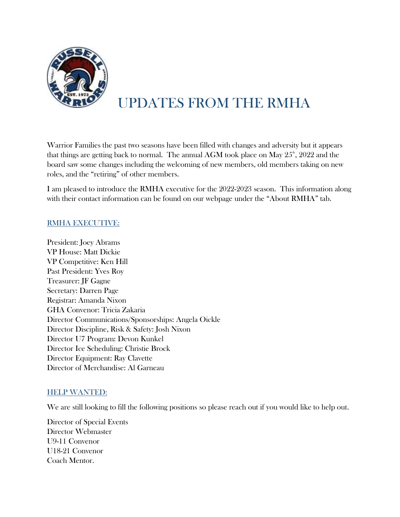

# UPDATES FROM THE RMHA

Warrior Families the past two seasons have been filled with changes and adversity but it appears that things are getting back to normal. The annual AGM took place on May  $25^{\circ}$ , 2022 and the board saw some changes including the welcoming of new members, old members taking on new roles, and the "retiring" of other members.

I am pleased to introduce the RMHA executive for the 2022-2023 season. This information along with their contact information can be found on our webpage under the "About RMHA" tab.

## RMHA EXECUTIVE:

President: Joey Abrams VP House: Matt Dickie VP Competitive: Ken Hill Past President: Yves Roy Treasurer: JF Gagne Secretary: Darren Page Registrar: Amanda Nixon GHA Convenor: Tricia Zakaria Director Communications/Sponsorships: Angela Oickle Director Discipline, Risk & Safety: Josh Nixon Director U7 Program: Devon Kunkel Director Ice Scheduling: Christie Brock Director Equipment: Ray Clavette Director of Merchandise: Al Garneau

## HELP WANTED:

We are still looking to fill the following positions so please reach out if you would like to help out.

Director of Special Events Director Webmaster U9-11 Convenor U18-21 Convenor Coach Mentor.